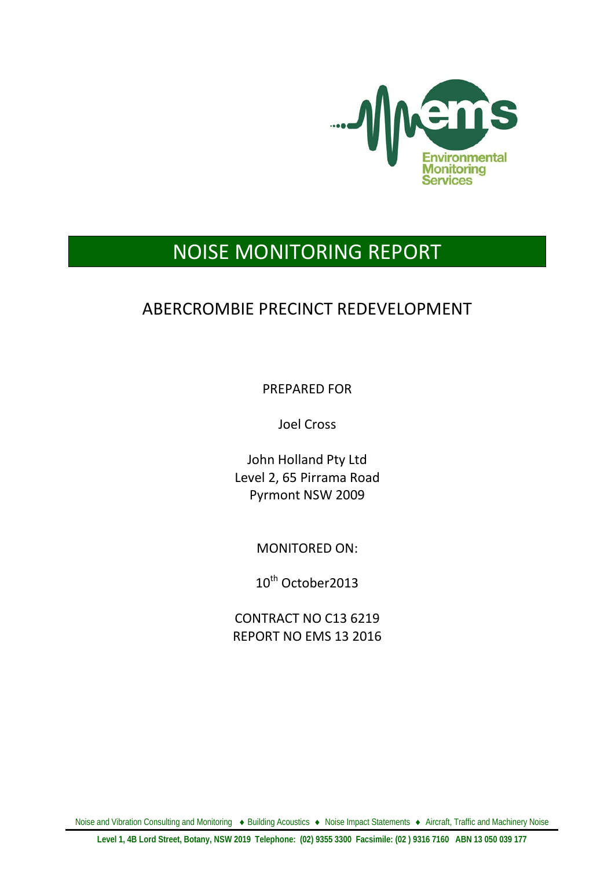

# NOISE MONITORING REPORT

## ABERCROMBIE PRECINCT REDEVELOPMENT

PREPARED FOR

Joel Cross

John Holland Pty Ltd Level 2, 65 Pirrama Road Pyrmont NSW 2009

MONITORED ON:

10<sup>th</sup> October2013

CONTRACT NO C13 6219 REPORT NO EMS 13 2016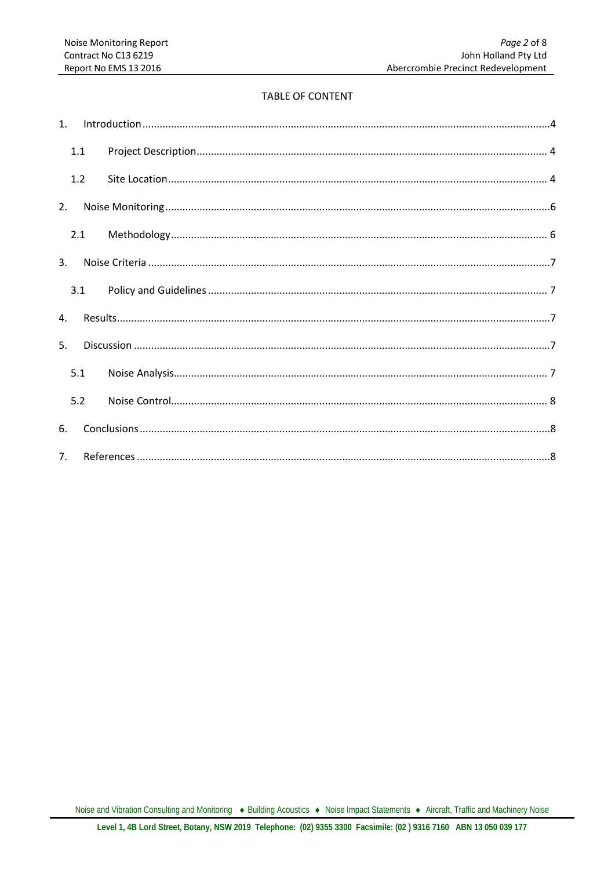#### **TABLE OF CONTENT**

| 1 <sup>1</sup> |     |  |  |  |  |
|----------------|-----|--|--|--|--|
|                | 1.1 |  |  |  |  |
|                | 1.2 |  |  |  |  |
| 2.             |     |  |  |  |  |
|                |     |  |  |  |  |
| $\mathbf{3}$ . |     |  |  |  |  |
|                | 3.1 |  |  |  |  |
| $\mathbf{A}$ . |     |  |  |  |  |
| 5.             |     |  |  |  |  |
|                | 5.1 |  |  |  |  |
|                | 5.2 |  |  |  |  |
| 6.             |     |  |  |  |  |
| 7 <sup>1</sup> |     |  |  |  |  |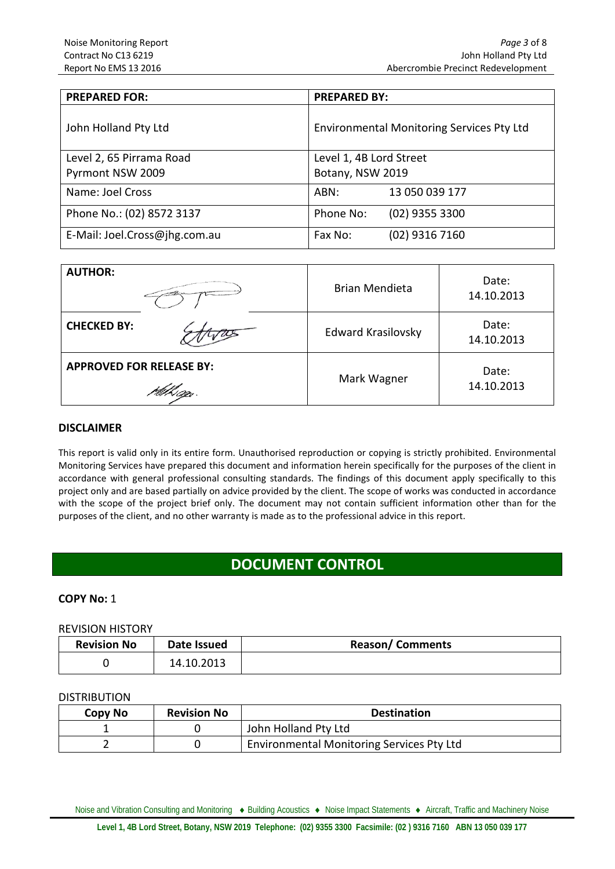| <b>PREPARED FOR:</b>          | <b>PREPARED BY:</b>                              |  |  |
|-------------------------------|--------------------------------------------------|--|--|
| John Holland Pty Ltd          | <b>Environmental Monitoring Services Pty Ltd</b> |  |  |
| Level 2, 65 Pirrama Road      | Level 1, 4B Lord Street                          |  |  |
| Pyrmont NSW 2009              | Botany, NSW 2019                                 |  |  |
| Name: Joel Cross              | 13 050 039 177<br>ABN:                           |  |  |
| Phone No.: (02) 8572 3137     | $(02)$ 9355 3300<br>Phone No:                    |  |  |
| E-Mail: Joel.Cross@jhg.com.au | Fax No:<br>$(02)$ 9316 7160                      |  |  |

| <b>AUTHOR:</b>                  | <b>Brian Mendieta</b>     | Date:<br>14.10.2013 |
|---------------------------------|---------------------------|---------------------|
| <b>CHECKED BY:</b>              | <b>Edward Krasilovsky</b> | Date:<br>14.10.2013 |
| <b>APPROVED FOR RELEASE BY:</b> | Mark Wagner               | Date:<br>14.10.2013 |

#### **DISCLAIMER**

This report is valid only in its entire form. Unauthorised reproduction or copying is strictly prohibited. Environmental Monitoring Services have prepared this document and information herein specifically for the purposes of the client in accordance with general professional consulting standards. The findings of this document apply specifically to this project only and are based partially on advice provided by the client. The scope of works was conducted in accordance with the scope of the project brief only. The document may not contain sufficient information other than for the purposes of the client, and no other warranty is made as to the professional advice in this report.

### **DOCUMENT CONTROL**

### **COPY No:** 1

#### REVISION HISTORY

| <b>Revision No</b> | Date Issued | <b>Reason/Comments</b> |
|--------------------|-------------|------------------------|
|                    | 14.10.2013  |                        |

#### DISTRIBUTION

| Copy No | <b>Revision No</b> | <b>Destination</b>                               |
|---------|--------------------|--------------------------------------------------|
|         |                    | John Holland Pty Ltd                             |
|         |                    | <b>Environmental Monitoring Services Pty Ltd</b> |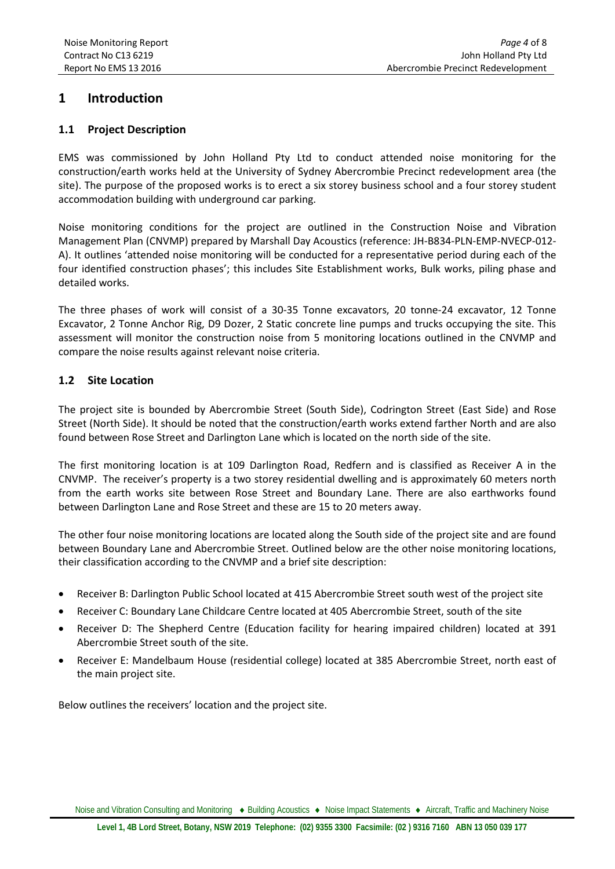### <span id="page-3-0"></span>**1 Introduction**

### <span id="page-3-1"></span>**1.1 Project Description**

EMS was commissioned by John Holland Pty Ltd to conduct attended noise monitoring for the construction/earth works held at the University of Sydney Abercrombie Precinct redevelopment area (the site). The purpose of the proposed works is to erect a six storey business school and a four storey student accommodation building with underground car parking.

Noise monitoring conditions for the project are outlined in the Construction Noise and Vibration Management Plan (CNVMP) prepared by Marshall Day Acoustics (reference: JH-B834-PLN-EMP-NVECP-012- A). It outlines 'attended noise monitoring will be conducted for a representative period during each of the four identified construction phases'; this includes Site Establishment works, Bulk works, piling phase and detailed works.

The three phases of work will consist of a 30-35 Tonne excavators, 20 tonne-24 excavator, 12 Tonne Excavator, 2 Tonne Anchor Rig, D9 Dozer, 2 Static concrete line pumps and trucks occupying the site. This assessment will monitor the construction noise from 5 monitoring locations outlined in the CNVMP and compare the noise results against relevant noise criteria.

### <span id="page-3-2"></span>**1.2 Site Location**

The project site is bounded by Abercrombie Street (South Side), Codrington Street (East Side) and Rose Street (North Side). It should be noted that the construction/earth works extend farther North and are also found between Rose Street and Darlington Lane which is located on the north side of the site.

The first monitoring location is at 109 Darlington Road, Redfern and is classified as Receiver A in the CNVMP. The receiver's property is a two storey residential dwelling and is approximately 60 meters north from the earth works site between Rose Street and Boundary Lane. There are also earthworks found between Darlington Lane and Rose Street and these are 15 to 20 meters away.

The other four noise monitoring locations are located along the South side of the project site and are found between Boundary Lane and Abercrombie Street. Outlined below are the other noise monitoring locations, their classification according to the CNVMP and a brief site description:

- Receiver B: Darlington Public School located at 415 Abercrombie Street south west of the project site
- Receiver C: Boundary Lane Childcare Centre located at 405 Abercrombie Street, south of the site
- Receiver D: The Shepherd Centre (Education facility for hearing impaired children) located at 391 Abercrombie Street south of the site.
- Receiver E: Mandelbaum House (residential college) located at 385 Abercrombie Street, north east of the main project site.

Below outlines the receivers' location and the project site.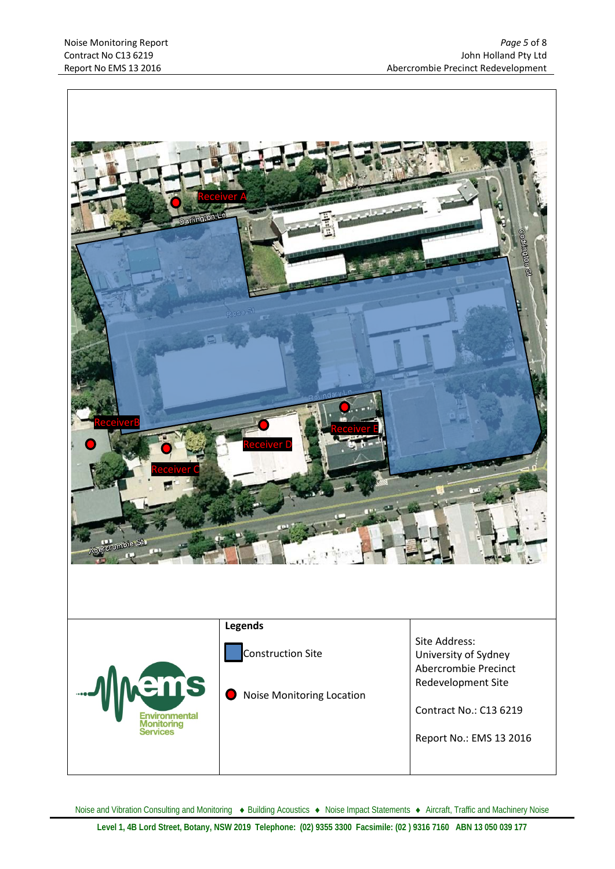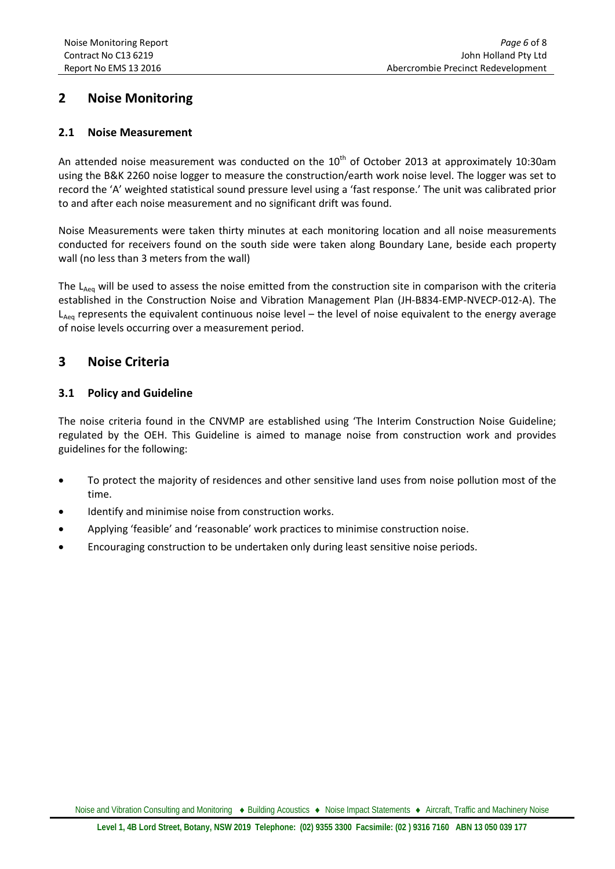### **2 Noise Monitoring**

### **2.1 Noise Measurement**

An attended noise measurement was conducted on the  $10<sup>th</sup>$  of October 2013 at approximately 10:30am using the B&K 2260 noise logger to measure the construction/earth work noise level. The logger was set to record the 'A' weighted statistical sound pressure level using a 'fast response.' The unit was calibrated prior to and after each noise measurement and no significant drift was found.

Noise Measurements were taken thirty minutes at each monitoring location and all noise measurements conducted for receivers found on the south side were taken along Boundary Lane, beside each property wall (no less than 3 meters from the wall)

The L<sub>Aeq</sub> will be used to assess the noise emitted from the construction site in comparison with the criteria established in the Construction Noise and Vibration Management Plan (JH-B834-EMP-NVECP-012-A). The  $L_{Aea}$  represents the equivalent continuous noise level – the level of noise equivalent to the energy average of noise levels occurring over a measurement period.

### **3 Noise Criteria**

### **3.1 Policy and Guideline**

The noise criteria found in the CNVMP are established using 'The Interim Construction Noise Guideline; regulated by the OEH. This Guideline is aimed to manage noise from construction work and provides guidelines for the following:

- To protect the majority of residences and other sensitive land uses from noise pollution most of the time.
- Identify and minimise noise from construction works.
- Applying 'feasible' and 'reasonable' work practices to minimise construction noise.
- Encouraging construction to be undertaken only during least sensitive noise periods.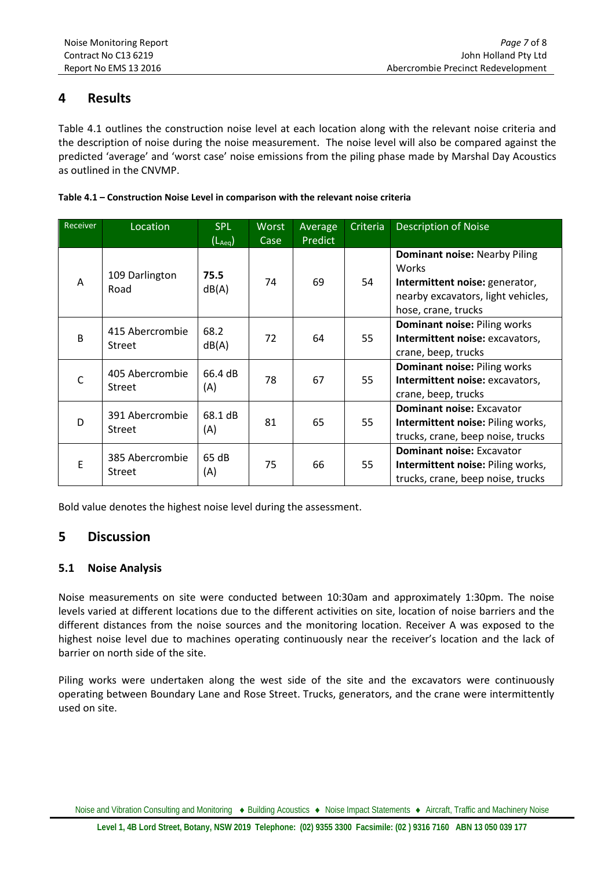### **4 Results**

Table 4.1 outlines the construction noise level at each location along with the relevant noise criteria and the description of noise during the noise measurement. The noise level will also be compared against the predicted 'average' and 'worst case' noise emissions from the piling phase made by Marshal Day Acoustics as outlined in the CNVMP.

| Table 4.1 - Construction Noise Level in comparison with the relevant noise criteria |  |
|-------------------------------------------------------------------------------------|--|
|-------------------------------------------------------------------------------------|--|

| Receiver     | Location                         | <b>SPL</b><br>$(L_{Aea})$ | <b>Worst</b><br>Case | Average<br>Predict | Criteria | <b>Description of Noise</b>                                                                                                                  |
|--------------|----------------------------------|---------------------------|----------------------|--------------------|----------|----------------------------------------------------------------------------------------------------------------------------------------------|
| A            | 109 Darlington<br>Road           | 75.5<br>dB(A)             | 74                   | 69                 | 54       | <b>Dominant noise: Nearby Piling</b><br>Works<br>Intermittent noise: generator,<br>nearby excavators, light vehicles,<br>hose, crane, trucks |
| B            | 415 Abercrombie<br><b>Street</b> | 68.2<br>dB(A)             | 72                   | 64                 | 55       | Dominant noise: Piling works<br>Intermittent noise: excavators,<br>crane, beep, trucks                                                       |
| $\mathsf{C}$ | 405 Abercrombie<br><b>Street</b> | 66.4 dB<br>(A)            | 78                   | 67                 | 55       | <b>Dominant noise: Piling works</b><br>Intermittent noise: excavators,<br>crane, beep, trucks                                                |
| D            | 391 Abercrombie<br><b>Street</b> | 68.1 dB<br>(A)            | 81                   | 65                 | 55       | <b>Dominant noise: Excavator</b><br>Intermittent noise: Piling works,<br>trucks, crane, beep noise, trucks                                   |
| E            | 385 Abercrombie<br><b>Street</b> | 65 dB<br>(A)              | 75                   | 66                 | 55       | <b>Dominant noise: Excavator</b><br>Intermittent noise: Piling works,<br>trucks, crane, beep noise, trucks                                   |

Bold value denotes the highest noise level during the assessment.

### <span id="page-6-0"></span>**5 Discussion**

### **5.1 Noise Analysis**

Noise measurements on site were conducted between 10:30am and approximately 1:30pm. The noise levels varied at different locations due to the different activities on site, location of noise barriers and the different distances from the noise sources and the monitoring location. Receiver A was exposed to the highest noise level due to machines operating continuously near the receiver's location and the lack of barrier on north side of the site.

Piling works were undertaken along the west side of the site and the excavators were continuously operating between Boundary Lane and Rose Street. Trucks, generators, and the crane were intermittently used on site.